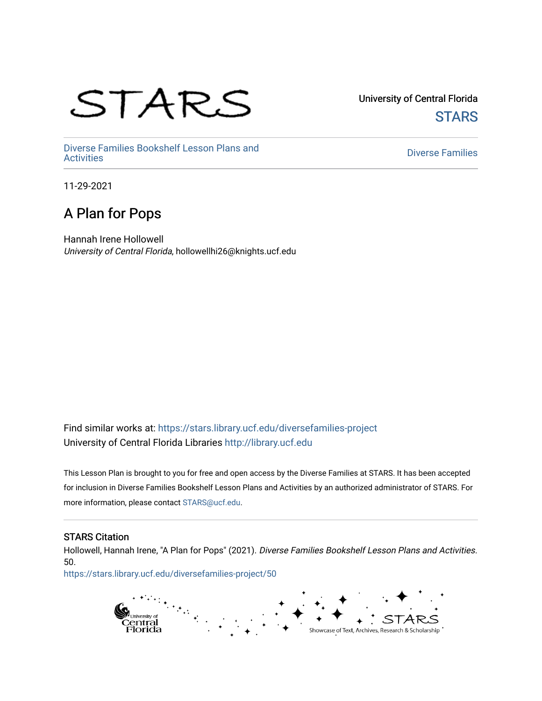# STARS

University of Central Florida **STARS** 

[Diverse Families Bookshelf Lesson Plans and](https://stars.library.ucf.edu/diversefamilies-project)  [Diverse Families](https://stars.library.ucf.edu/diversefamilies) Dooksherr Lesson Frans and Theorem Controller Chinese Families<br>Activities

11-29-2021

#### A Plan for Pops

Hannah Irene Hollowell University of Central Florida, hollowellhi26@knights.ucf.edu

Find similar works at: <https://stars.library.ucf.edu/diversefamilies-project> University of Central Florida Libraries [http://library.ucf.edu](http://library.ucf.edu/) 

This Lesson Plan is brought to you for free and open access by the Diverse Families at STARS. It has been accepted for inclusion in Diverse Families Bookshelf Lesson Plans and Activities by an authorized administrator of STARS. For more information, please contact [STARS@ucf.edu.](mailto:STARS@ucf.edu)

#### STARS Citation

Hollowell, Hannah Irene, "A Plan for Pops" (2021). Diverse Families Bookshelf Lesson Plans and Activities. 50.

[https://stars.library.ucf.edu/diversefamilies-project/50](https://stars.library.ucf.edu/diversefamilies-project/50?utm_source=stars.library.ucf.edu%2Fdiversefamilies-project%2F50&utm_medium=PDF&utm_campaign=PDFCoverPages) 

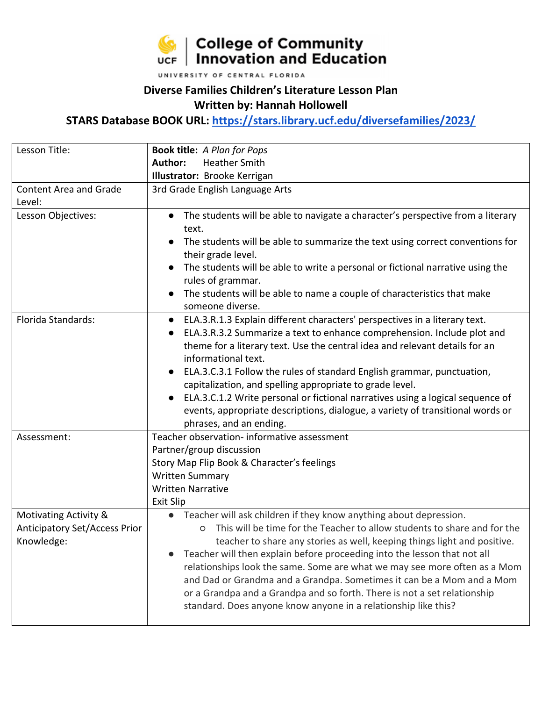

UNIVERSITY OF CENTRAL FLORIDA

#### **Diverse Families Children's Literature Lesson Plan Written by: Hannah Hollowell**

**STARS Database BOOK URL:<https://stars.library.ucf.edu/diversefamilies/2023/>**

| Lesson Title:                                                               | <b>Book title:</b> A Plan for Pops                                                                                                                                                                                                                                                                                                                                                                                                                                                                                                                                                                                                                                        |
|-----------------------------------------------------------------------------|---------------------------------------------------------------------------------------------------------------------------------------------------------------------------------------------------------------------------------------------------------------------------------------------------------------------------------------------------------------------------------------------------------------------------------------------------------------------------------------------------------------------------------------------------------------------------------------------------------------------------------------------------------------------------|
|                                                                             | <b>Heather Smith</b><br>Author:                                                                                                                                                                                                                                                                                                                                                                                                                                                                                                                                                                                                                                           |
|                                                                             | Illustrator: Brooke Kerrigan                                                                                                                                                                                                                                                                                                                                                                                                                                                                                                                                                                                                                                              |
| <b>Content Area and Grade</b>                                               | 3rd Grade English Language Arts                                                                                                                                                                                                                                                                                                                                                                                                                                                                                                                                                                                                                                           |
| Level:                                                                      |                                                                                                                                                                                                                                                                                                                                                                                                                                                                                                                                                                                                                                                                           |
| Lesson Objectives:                                                          | The students will be able to navigate a character's perspective from a literary<br>text.                                                                                                                                                                                                                                                                                                                                                                                                                                                                                                                                                                                  |
|                                                                             | The students will be able to summarize the text using correct conventions for<br>their grade level.                                                                                                                                                                                                                                                                                                                                                                                                                                                                                                                                                                       |
|                                                                             | The students will be able to write a personal or fictional narrative using the<br>rules of grammar.                                                                                                                                                                                                                                                                                                                                                                                                                                                                                                                                                                       |
|                                                                             | The students will be able to name a couple of characteristics that make<br>someone diverse.                                                                                                                                                                                                                                                                                                                                                                                                                                                                                                                                                                               |
| Florida Standards:<br>Assessment:                                           | ELA.3.R.1.3 Explain different characters' perspectives in a literary text.<br>$\bullet$<br>ELA.3.R.3.2 Summarize a text to enhance comprehension. Include plot and<br>$\bullet$<br>theme for a literary text. Use the central idea and relevant details for an<br>informational text.<br>ELA.3.C.3.1 Follow the rules of standard English grammar, punctuation,<br>capitalization, and spelling appropriate to grade level.<br>ELA.3.C.1.2 Write personal or fictional narratives using a logical sequence of<br>events, appropriate descriptions, dialogue, a variety of transitional words or<br>phrases, and an ending.<br>Teacher observation- informative assessment |
|                                                                             | Partner/group discussion<br>Story Map Flip Book & Character's feelings<br><b>Written Summary</b><br><b>Written Narrative</b><br><b>Exit Slip</b>                                                                                                                                                                                                                                                                                                                                                                                                                                                                                                                          |
| Motivating Activity &<br><b>Anticipatory Set/Access Prior</b><br>Knowledge: | • Teacher will ask children if they know anything about depression.<br>o This will be time for the Teacher to allow students to share and for the<br>teacher to share any stories as well, keeping things light and positive.<br>Teacher will then explain before proceeding into the lesson that not all<br>relationships look the same. Some are what we may see more often as a Mom<br>and Dad or Grandma and a Grandpa. Sometimes it can be a Mom and a Mom<br>or a Grandpa and a Grandpa and so forth. There is not a set relationship<br>standard. Does anyone know anyone in a relationship like this?                                                             |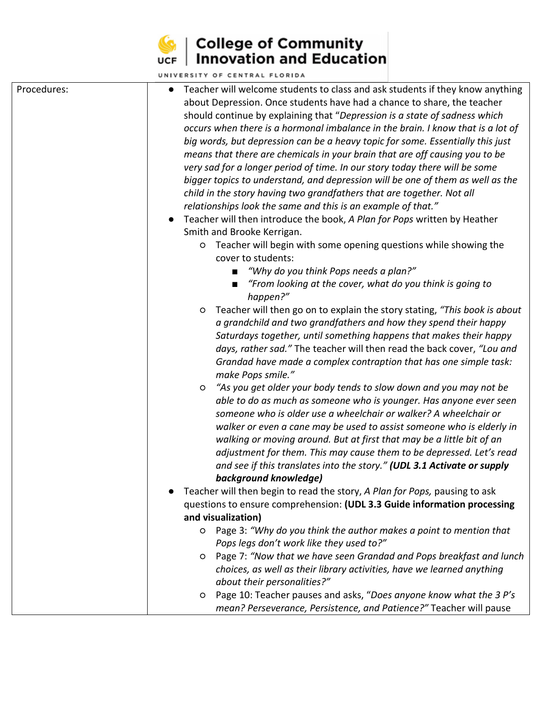

|             | UNIVERSITY OF CENTRAL FLORIDA                                                                                                                                                                                                                                                                                                                                                                                                                                                                                                                                                                                                                                                                                                                                                                                                                                                                                                                                                                                                                                                                                                                                                                                                                                                                                                                                                                                                                                                                                                                                                                                                                                                                                                                                                                                                                                                                                                                                                                                                                                                                                                                                                                                                                                                                                                                                        |
|-------------|----------------------------------------------------------------------------------------------------------------------------------------------------------------------------------------------------------------------------------------------------------------------------------------------------------------------------------------------------------------------------------------------------------------------------------------------------------------------------------------------------------------------------------------------------------------------------------------------------------------------------------------------------------------------------------------------------------------------------------------------------------------------------------------------------------------------------------------------------------------------------------------------------------------------------------------------------------------------------------------------------------------------------------------------------------------------------------------------------------------------------------------------------------------------------------------------------------------------------------------------------------------------------------------------------------------------------------------------------------------------------------------------------------------------------------------------------------------------------------------------------------------------------------------------------------------------------------------------------------------------------------------------------------------------------------------------------------------------------------------------------------------------------------------------------------------------------------------------------------------------------------------------------------------------------------------------------------------------------------------------------------------------------------------------------------------------------------------------------------------------------------------------------------------------------------------------------------------------------------------------------------------------------------------------------------------------------------------------------------------------|
| Procedures: | Teacher will welcome students to class and ask students if they know anything<br>about Depression. Once students have had a chance to share, the teacher<br>should continue by explaining that "Depression is a state of sadness which<br>occurs when there is a hormonal imbalance in the brain. I know that is a lot of<br>big words, but depression can be a heavy topic for some. Essentially this just<br>means that there are chemicals in your brain that are off causing you to be<br>very sad for a longer period of time. In our story today there will be some<br>bigger topics to understand, and depression will be one of them as well as the<br>child in the story having two grandfathers that are together. Not all<br>relationships look the same and this is an example of that."<br>Teacher will then introduce the book, A Plan for Pops written by Heather<br>Smith and Brooke Kerrigan.<br>Teacher will begin with some opening questions while showing the<br>$\circ$<br>cover to students:<br>"Why do you think Pops needs a plan?"<br>"From looking at the cover, what do you think is going to<br>happen?"<br>Teacher will then go on to explain the story stating, "This book is about<br>$\circ$<br>a grandchild and two grandfathers and how they spend their happy<br>Saturdays together, until something happens that makes their happy<br>days, rather sad." The teacher will then read the back cover, "Lou and<br>Grandad have made a complex contraption that has one simple task:<br>make Pops smile."<br>"As you get older your body tends to slow down and you may not be<br>$\circ$<br>able to do as much as someone who is younger. Has anyone ever seen<br>someone who is older use a wheelchair or walker? A wheelchair or<br>walker or even a cane may be used to assist someone who is elderly in<br>walking or moving around. But at first that may be a little bit of an<br>adjustment for them. This may cause them to be depressed. Let's read<br>and see if this translates into the story." (UDL 3.1 Activate or supply<br>background knowledge)<br>Teacher will then begin to read the story, A Plan for Pops, pausing to ask<br>questions to ensure comprehension: (UDL 3.3 Guide information processing<br>and visualization)<br>Page 3: "Why do you think the author makes a point to mention that<br>$\circ$ |
|             | Pops legs don't work like they used to?"                                                                                                                                                                                                                                                                                                                                                                                                                                                                                                                                                                                                                                                                                                                                                                                                                                                                                                                                                                                                                                                                                                                                                                                                                                                                                                                                                                                                                                                                                                                                                                                                                                                                                                                                                                                                                                                                                                                                                                                                                                                                                                                                                                                                                                                                                                                             |
|             | Page 7: "Now that we have seen Grandad and Pops breakfast and lunch<br>$\circ$                                                                                                                                                                                                                                                                                                                                                                                                                                                                                                                                                                                                                                                                                                                                                                                                                                                                                                                                                                                                                                                                                                                                                                                                                                                                                                                                                                                                                                                                                                                                                                                                                                                                                                                                                                                                                                                                                                                                                                                                                                                                                                                                                                                                                                                                                       |
|             | choices, as well as their library activities, have we learned anything<br>about their personalities?"                                                                                                                                                                                                                                                                                                                                                                                                                                                                                                                                                                                                                                                                                                                                                                                                                                                                                                                                                                                                                                                                                                                                                                                                                                                                                                                                                                                                                                                                                                                                                                                                                                                                                                                                                                                                                                                                                                                                                                                                                                                                                                                                                                                                                                                                |
|             | Page 10: Teacher pauses and asks, "Does anyone know what the 3 P's<br>$\circ$                                                                                                                                                                                                                                                                                                                                                                                                                                                                                                                                                                                                                                                                                                                                                                                                                                                                                                                                                                                                                                                                                                                                                                                                                                                                                                                                                                                                                                                                                                                                                                                                                                                                                                                                                                                                                                                                                                                                                                                                                                                                                                                                                                                                                                                                                        |
|             | mean? Perseverance, Persistence, and Patience?" Teacher will pause                                                                                                                                                                                                                                                                                                                                                                                                                                                                                                                                                                                                                                                                                                                                                                                                                                                                                                                                                                                                                                                                                                                                                                                                                                                                                                                                                                                                                                                                                                                                                                                                                                                                                                                                                                                                                                                                                                                                                                                                                                                                                                                                                                                                                                                                                                   |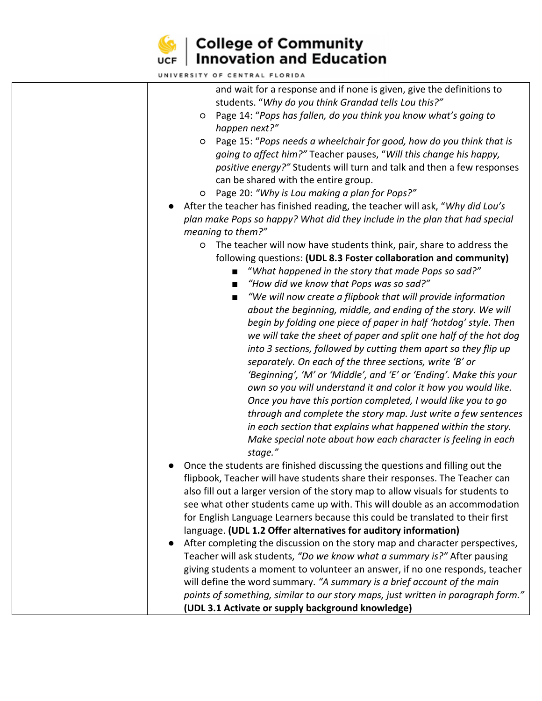| UNIVERSITY OF CENTRAL FLORIDA                                                                                                 |
|-------------------------------------------------------------------------------------------------------------------------------|
| and wait for a response and if none is given, give the definitions to<br>students. "Why do you think Grandad tells Lou this?" |
| Page 14: "Pops has fallen, do you think you know what's going to<br>O                                                         |
| happen next?"                                                                                                                 |
| Page 15: "Pops needs a wheelchair for good, how do you think that is<br>O                                                     |
| going to affect him?" Teacher pauses, "Will this change his happy,                                                            |
| positive energy?" Students will turn and talk and then a few responses                                                        |
| can be shared with the entire group.                                                                                          |
| Page 20: "Why is Lou making a plan for Pops?"<br>O                                                                            |
| After the teacher has finished reading, the teacher will ask, "Why did Lou's                                                  |
| plan make Pops so happy? What did they include in the plan that had special                                                   |
| meaning to them?"                                                                                                             |
| The teacher will now have students think, pair, share to address the<br>O                                                     |
| following questions: (UDL 8.3 Foster collaboration and community)                                                             |
| "What happened in the story that made Pops so sad?"                                                                           |
| "How did we know that Pops was so sad?"<br>$\blacksquare$                                                                     |
| "We will now create a flipbook that will provide information<br>$\blacksquare$                                                |
| about the beginning, middle, and ending of the story. We will                                                                 |
| begin by folding one piece of paper in half 'hotdog' style. Then                                                              |
| we will take the sheet of paper and split one half of the hot dog                                                             |
| into 3 sections, followed by cutting them apart so they flip up                                                               |
| separately. On each of the three sections, write 'B' or                                                                       |
| 'Beginning', 'M' or 'Middle', and 'E' or 'Ending'. Make this your                                                             |
| own so you will understand it and color it how you would like.                                                                |
| Once you have this portion completed, I would like you to go                                                                  |
| through and complete the story map. Just write a few sentences                                                                |
| in each section that explains what happened within the story.                                                                 |
| Make special note about how each character is feeling in each                                                                 |
| stage."                                                                                                                       |
| Once the students are finished discussing the questions and filling out the                                                   |
| flipbook, Teacher will have students share their responses. The Teacher can                                                   |
| also fill out a larger version of the story map to allow visuals for students to                                              |
| see what other students came up with. This will double as an accommodation                                                    |
| for English Language Learners because this could be translated to their first                                                 |
| language. (UDL 1.2 Offer alternatives for auditory information)                                                               |
| After completing the discussion on the story map and character perspectives,                                                  |
| Teacher will ask students, "Do we know what a summary is?" After pausing                                                      |
| giving students a moment to volunteer an answer, if no one responds, teacher                                                  |
| will define the word summary. "A summary is a brief account of the main                                                       |
| points of something, similar to our story maps, just written in paragraph form."                                              |
| (UDL 3.1 Activate or supply background knowledge)                                                                             |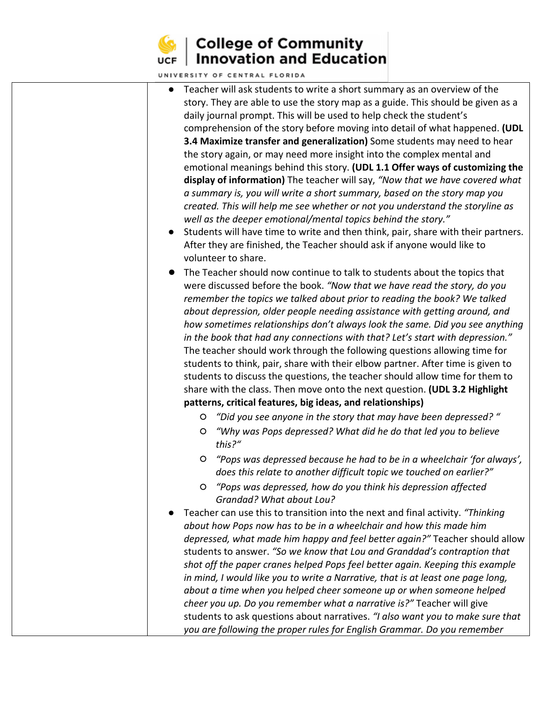

| UNIVERSITY OF CENTRAL FLORIDA                                                                                                                                                                                                                                                                                                                                                                                                                                                                                                                                                                                                                                                                                                                                                                                                                                                                                                                                                                                                                                                         |
|---------------------------------------------------------------------------------------------------------------------------------------------------------------------------------------------------------------------------------------------------------------------------------------------------------------------------------------------------------------------------------------------------------------------------------------------------------------------------------------------------------------------------------------------------------------------------------------------------------------------------------------------------------------------------------------------------------------------------------------------------------------------------------------------------------------------------------------------------------------------------------------------------------------------------------------------------------------------------------------------------------------------------------------------------------------------------------------|
| Teacher will ask students to write a short summary as an overview of the<br>$\bullet$<br>story. They are able to use the story map as a guide. This should be given as a<br>daily journal prompt. This will be used to help check the student's<br>comprehension of the story before moving into detail of what happened. (UDL<br>3.4 Maximize transfer and generalization) Some students may need to hear<br>the story again, or may need more insight into the complex mental and<br>emotional meanings behind this story. (UDL 1.1 Offer ways of customizing the<br>display of information) The teacher will say, "Now that we have covered what<br>a summary is, you will write a short summary, based on the story map you<br>created. This will help me see whether or not you understand the storyline as<br>well as the deeper emotional/mental topics behind the story."<br>Students will have time to write and then think, pair, share with their partners.<br>$\bullet$<br>After they are finished, the Teacher should ask if anyone would like to<br>volunteer to share. |
| The Teacher should now continue to talk to students about the topics that<br>were discussed before the book. "Now that we have read the story, do you<br>remember the topics we talked about prior to reading the book? We talked<br>about depression, older people needing assistance with getting around, and<br>how sometimes relationships don't always look the same. Did you see anything<br>in the book that had any connections with that? Let's start with depression."<br>The teacher should work through the following questions allowing time for<br>students to think, pair, share with their elbow partner. After time is given to<br>students to discuss the questions, the teacher should allow time for them to<br>share with the class. Then move onto the next question. (UDL 3.2 Highlight<br>patterns, critical features, big ideas, and relationships)<br>"Did you see anyone in the story that may have been depressed?"<br>$\circ$<br>"Why was Pops depressed? What did he do that led you to believe<br>$\circ$                                              |
| this?"<br>"Pops was depressed because he had to be in a wheelchair 'for always',<br>O<br>does this relate to another difficult topic we touched on earlier?"<br>"Pops was depressed, how do you think his depression affected<br>$\circ$<br>Grandad? What about Lou?<br>Teacher can use this to transition into the next and final activity. "Thinking<br>about how Pops now has to be in a wheelchair and how this made him<br>depressed, what made him happy and feel better again?" Teacher should allow<br>students to answer. "So we know that Lou and Granddad's contraption that<br>shot off the paper cranes helped Pops feel better again. Keeping this example<br>in mind, I would like you to write a Narrative, that is at least one page long,<br>about a time when you helped cheer someone up or when someone helped<br>cheer you up. Do you remember what a narrative is?" Teacher will give<br>students to ask questions about narratives. "I also want you to make sure that<br>you are following the proper rules for English Grammar. Do you remember             |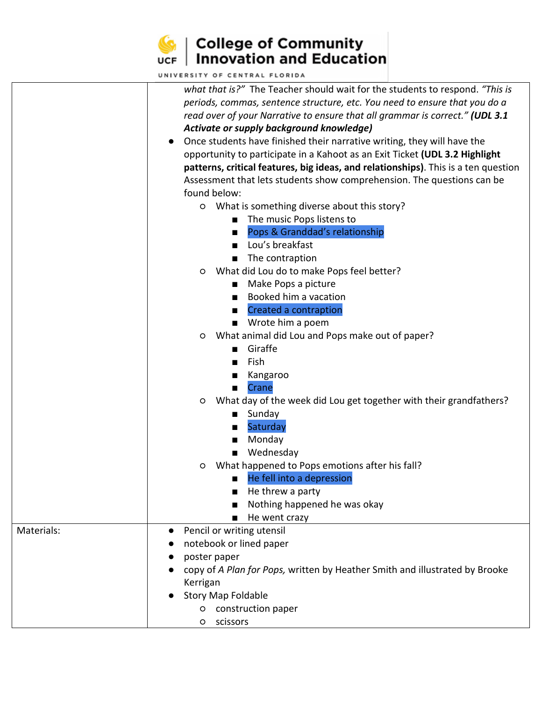

|            | UNIVERSITY OF CENTRAL FLORIDA                                                        |
|------------|--------------------------------------------------------------------------------------|
|            | what that is?" The Teacher should wait for the students to respond. "This is         |
|            | periods, commas, sentence structure, etc. You need to ensure that you do a           |
|            | read over of your Narrative to ensure that all grammar is correct." (UDL 3.1         |
|            | Activate or supply background knowledge)                                             |
|            | Once students have finished their narrative writing, they will have the<br>$\bullet$ |
|            | opportunity to participate in a Kahoot as an Exit Ticket (UDL 3.2 Highlight          |
|            | patterns, critical features, big ideas, and relationships). This is a ten question   |
|            | Assessment that lets students show comprehension. The questions can be               |
|            | found below:                                                                         |
|            | What is something diverse about this story?<br>$\circ$                               |
|            | The music Pops listens to                                                            |
|            | Pops & Granddad's relationship<br>п                                                  |
|            | Lou's breakfast                                                                      |
|            | The contraption                                                                      |
|            | What did Lou do to make Pops feel better?<br>O                                       |
|            | Make Pops a picture<br>п                                                             |
|            | Booked him a vacation                                                                |
|            | Created a contraption<br>$\blacksquare$                                              |
|            | ■ Wrote him a poem                                                                   |
|            | What animal did Lou and Pops make out of paper?<br>O                                 |
|            | Giraffe                                                                              |
|            | Fish<br>$\blacksquare$                                                               |
|            | Kangaroo<br>■                                                                        |
|            | Crane<br>■                                                                           |
|            | What day of the week did Lou get together with their grandfathers?<br>$\circ$        |
|            | Sunday<br>$\mathcal{L}^{\text{max}}$                                                 |
|            | Saturday                                                                             |
|            | ■<br>Monday                                                                          |
|            | п<br>Wednesday                                                                       |
|            |                                                                                      |
|            | What happened to Pops emotions after his fall?<br>O                                  |
|            | He fell into a depression                                                            |
|            | He threw a party                                                                     |
|            | Nothing happened he was okay                                                         |
|            | He went crazy<br>■                                                                   |
| Materials: | Pencil or writing utensil<br>$\bullet$                                               |
|            | notebook or lined paper                                                              |
|            | poster paper                                                                         |
|            | copy of A Plan for Pops, written by Heather Smith and illustrated by Brooke          |
|            | Kerrigan                                                                             |
|            | <b>Story Map Foldable</b>                                                            |
|            | o construction paper                                                                 |
|            | o scissors                                                                           |